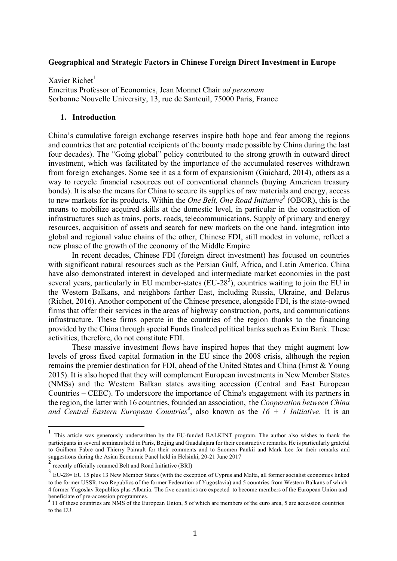#### **Geographical and Strategic Factors in Chinese Foreign Direct Investment in Europe**

Xavier Richet $<sup>1</sup>$ </sup> Emeritus Professor of Economics, Jean Monnet Chair *ad personam* Sorbonne Nouvelle University, 13, rue de Santeuil, 75000 Paris, France

#### **1. Introduction**

China's cumulative foreign exchange reserves inspire both hope and fear among the regions and countries that are potential recipients of the bounty made possible by China during the last four decades). The "Going global" policy contributed to the strong growth in outward direct investment, which was facilitated by the importance of the accumulated reserves withdrawn from foreign exchanges. Some see it as a form of expansionism (Guichard, 2014), others as a way to recycle financial resources out of conventional channels (buying American treasury bonds). It is also the means for China to secure its supplies of raw materials and energy, access to new markets for its products. Within the *One Belt, One Road Initiative*<sup>2</sup> (OBOR), this is the means to mobilize acquired skills at the domestic level, in particular in the construction of infrastructures such as trains, ports, roads, telecommunications. Supply of primary and energy resources, acquisition of assets and search for new markets on the one hand, integration into global and regional value chains of the other, Chinese FDI, still modest in volume, reflect a new phase of the growth of the economy of the Middle Empire

In recent decades, Chinese FDI (foreign direct investment) has focused on countries with significant natural resources such as the Persian Gulf, Africa, and Latin America. China have also demonstrated interest in developed and intermediate market economies in the past several years, particularly in EU member-states (EU-28<sup>3</sup>), countries waiting to join the EU in the Western Balkans, and neighbors farther East, including Russia, Ukraine, and Belarus (Richet, 2016). Another component of the Chinese presence, alongside FDI, is the state-owned firms that offer their services in the areas of highway construction, ports, and communications infrastructure. These firms operate in the countries of the region thanks to the financing provided by the China through special Funds finalced political banks such as Exim Bank. These activities, therefore, do not constitute FDI.

These massive investment flows have inspired hopes that they might augment low levels of gross fixed capital formation in the EU since the 2008 crisis, although the region remains the premier destination for FDI, ahead of the United States and China (Ernst & Young 2015). It is also hoped that they will complement European investments in New Member States (NMSs) and the Western Balkan states awaiting accession (Central and East European Countries – CEEC). To underscore the importance of China's engagement with its partners in the region, the latter with 16 countries, founded an association, the *Cooperation between China and Central Eastern European Countries<sup>4</sup>* , also known as the *16 + 1 Initiative*. It is an

 <sup>1</sup> This article was generously underwritten by the EU-funded BALKINT program. The author also wishes to thank the participants in several seminars held in Paris, Beijing and Guadalajara for their constructive remarks. He is particularly grateful to Guilhem Fabre and Thierry Pairault for their comments and to Suomen Pankii and Mark Lee for their remarks and suggestions during the Asian Economic Panel held in Helsinki, 20-21 June 2017

<sup>2</sup> recently officially renamed Belt and Road Initiative (BRI)

<sup>&</sup>lt;sup>3</sup> EU-28= EU 15 plus 13 New Member States (with the exception of Cyprus and Malta, all former socialist economies linked to the former USSR, two Republics of the former Federation of Yugoslavia) and 5 countries from Western Balkans of which 4 former Yugoslav Republics plus Albania. The five countries are expected to become members of the European Union and beneficiate of pre-accession programmes.<br><sup>4</sup> 11 of these countries are NMS of the European Union, 5 of which are members of the euro area, 5 are accession countries

to the EU.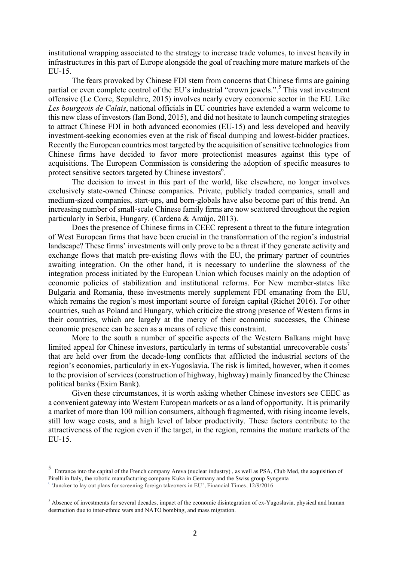institutional wrapping associated to the strategy to increase trade volumes, to invest heavily in infrastructures in this part of Europe alongside the goal of reaching more mature markets of the EU-15.

The fears provoked by Chinese FDI stem from concerns that Chinese firms are gaining partial or even complete control of the EU's industrial "crown jewels.".<sup>5</sup> This vast investment offensive (Le Corre, Sepulchre, 2015) involves nearly every economic sector in the EU. Like *Les bourgeois de Calais*, national officials in EU countries have extended a warm welcome to this new class of investors (Ian Bond, 2015), and did not hesitate to launch competing strategies to attract Chinese FDI in both advanced economies (EU-15) and less developed and heavily investment-seeking economies even at the risk of fiscal dumping and lowest-bidder practices. Recently the European countries most targeted by the acquisition of sensitive technologies from Chinese firms have decided to favor more protectionist measures against this type of acquisitions. The European Commission is considering the adoption of specific measures to protect sensitive sectors targeted by Chinese investors $6$ .

The decision to invest in this part of the world, like elsewhere, no longer involves exclusively state-owned Chinese companies. Private, publicly traded companies, small and medium-sized companies, start-ups, and born-globals have also become part of this trend. An increasing number of small-scale Chinese family firms are now scattered throughout the region particularly in Serbia, Hungary. (Cardena & Araùjo, 2013).

Does the presence of Chinese firms in CEEC represent a threat to the future integration of West European firms that have been crucial in the transformation of the region's industrial landscape? These firms' investments will only prove to be a threat if they generate activity and exchange flows that match pre-existing flows with the EU, the primary partner of countries awaiting integration. On the other hand, it is necessary to underline the slowness of the integration process initiated by the European Union which focuses mainly on the adoption of economic policies of stabilization and institutional reforms. For New member-states like Bulgaria and Romania, these investments merely supplement FDI emanating from the EU, which remains the region's most important source of foreign capital (Richet 2016). For other countries, such as Poland and Hungary, which criticize the strong presence of Western firms in their countries, which are largely at the mercy of their economic successes, the Chinese economic presence can be seen as a means of relieve this constraint.

More to the south a number of specific aspects of the Western Balkans might have limited appeal for Chinese investors, particularly in terms of substantial unrecoverable costs<sup>7</sup> that are held over from the decade-long conflicts that afflicted the industrial sectors of the region's economies, particularly in ex-Yugoslavia. The risk is limited, however, when it comes to the provision of services (construction of highway, highway) mainly financed by the Chinese political banks (Exim Bank).

Given these circumstances, it is worth asking whether Chinese investors see CEEC as a convenient gateway into Western European markets or as a land of opportunity. It is primarily a market of more than 100 million consumers, although fragmented, with rising income levels, still low wage costs, and a high level of labor productivity. These factors contribute to the attractiveness of the region even if the target, in the region, remains the mature markets of the EU-15.

 <sup>5</sup> Entrance into the capital of the French company Areva (nuclear industry) , as well as PSA, Club Med, the acquisition of Pirelli in Italy, the robotic manufacturing company Kuka in Germany and the Swiss group Syngenta

 $6$  'Juncker to lay out plans for screening foreign takeovers in EU', Financial Times, 12/9/2016

 $<sup>7</sup>$  Absence of investments for several decades, impact of the economic disintegration of ex-Yugoslavia, physical and human</sup> destruction due to inter-ethnic wars and NATO bombing, and mass migration.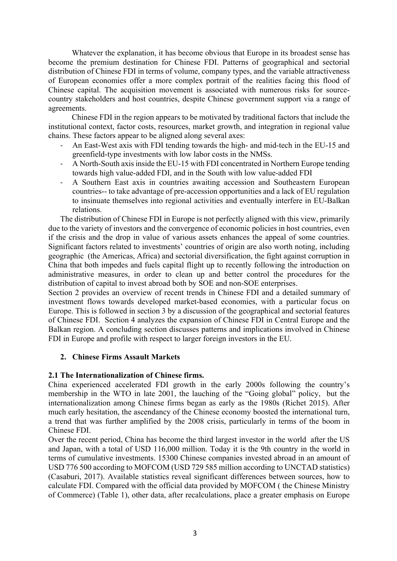Whatever the explanation, it has become obvious that Europe in its broadest sense has become the premium destination for Chinese FDI. Patterns of geographical and sectorial distribution of Chinese FDI in terms of volume, company types, and the variable attractiveness of European economies offer a more complex portrait of the realities facing this flood of Chinese capital. The acquisition movement is associated with numerous risks for sourcecountry stakeholders and host countries, despite Chinese government support via a range of agreements.

Chinese FDI in the region appears to be motivated by traditional factors that include the institutional context, factor costs, resources, market growth, and integration in regional value chains. These factors appear to be aligned along several axes:

- An East-West axis with FDI tending towards the high- and mid-tech in the EU-15 and greenfield-type investments with low labor costs in the NMSs.
- A North-South axis inside the EU-15 with FDI concentrated in Northern Europe tending towards high value-added FDI, and in the South with low value-added FDI
- A Southern East axis in countries awaiting accession and Southeastern European countries-- to take advantage of pre-accession opportunities and a lack of EU regulation to insinuate themselves into regional activities and eventually interfere in EU-Balkan relations.

The distribution of Chinese FDI in Europe is not perfectly aligned with this view, primarily due to the variety of investors and the convergence of economic policies in host countries, even if the crisis and the drop in value of various assets enhances the appeal of some countries. Significant factors related to investments' countries of origin are also worth noting, including geographic (the Americas, Africa) and sectorial diversification, the fight against corruption in China that both impedes and fuels capital flight up to recently following the introduction on administrative measures, in order to clean up and better control the procedures for the distribution of capital to invest abroad both by SOE and non-SOE enterprises.

Section 2 provides an overview of recent trends in Chinese FDI and a detailed summary of investment flows towards developed market-based economies, with a particular focus on Europe. This is followed in section 3 by a discussion of the geographical and sectorial features of Chinese FDI. Section 4 analyzes the expansion of Chinese FDI in Central Europe and the Balkan region. A concluding section discusses patterns and implications involved in Chinese FDI in Europe and profile with respect to larger foreign investors in the EU.

### **2. Chinese Firms Assault Markets**

### **2.1 The Internationalization of Chinese firms.**

China experienced accelerated FDI growth in the early 2000s following the country's membership in the WTO in late 2001, the lauching of the "Going global" policy, but the internationalization among Chinese firms began as early as the 1980s (Richet 2015). After much early hesitation, the ascendancy of the Chinese economy boosted the international turn, a trend that was further amplified by the 2008 crisis, particularly in terms of the boom in Chinese FDI.

Over the recent period, China has become the third largest investor in the world after the US and Japan, with a total of USD 116,000 million. Today it is the 9th country in the world in terms of cumulative investments. 15300 Chinese companies invested abroad in an amount of USD 776 500 according to MOFCOM (USD 729 585 million according to UNCTAD statistics) (Casaburi, 2017). Available statistics reveal significant differences between sources, how to calculate FDI. Compared with the official data provided by MOFCOM ( the Chinese Ministry of Commerce) (Table 1), other data, after recalculations, place a greater emphasis on Europe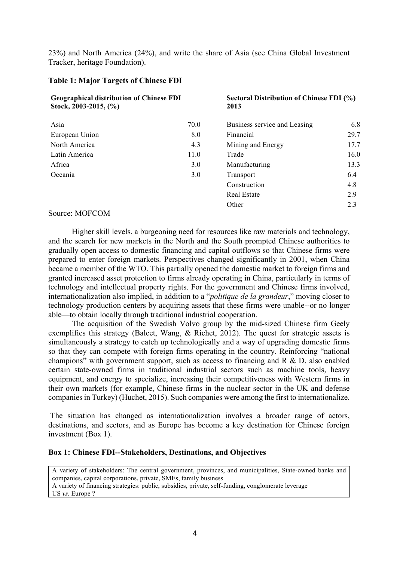23%) and North America (24%), and write the share of Asia (see China Global Investment Tracker, heritage Foundation).

#### **Table 1: Major Targets of Chinese FDI**

| <b>Geographical distribution of Chinese FDI</b><br>Stock, 2003-2015, $(\%$ |      | Sectoral Distribution of Chinese FDI (%)<br>2013 |      |  |
|----------------------------------------------------------------------------|------|--------------------------------------------------|------|--|
| Asia                                                                       | 70.0 | Business service and Leasing                     | 6.8  |  |
| European Union                                                             | 8.0  | Financial                                        | 29.7 |  |
| North America                                                              | 4.3  | Mining and Energy                                | 17.7 |  |
| Latin America                                                              | 11.0 | Trade                                            | 16.0 |  |
| Africa                                                                     | 3.0  | Manufacturing                                    | 13.3 |  |
| Oceania                                                                    | 3.0  | Transport                                        | 6.4  |  |
|                                                                            |      | Construction                                     | 4.8  |  |
|                                                                            |      | Real Estate                                      | 2.9  |  |
|                                                                            |      | Other                                            | 2.3  |  |

#### Source: MOFCOM

Higher skill levels, a burgeoning need for resources like raw materials and technology, and the search for new markets in the North and the South prompted Chinese authorities to gradually open access to domestic financing and capital outflows so that Chinese firms were prepared to enter foreign markets. Perspectives changed significantly in 2001, when China became a member of the WTO. This partially opened the domestic market to foreign firms and granted increased asset protection to firms already operating in China, particularly in terms of technology and intellectual property rights. For the government and Chinese firms involved, internationalization also implied, in addition to a "*politique de la grandeur*," moving closer to technology production centers by acquiring assets that these firms were unable--or no longer able—to obtain locally through traditional industrial cooperation.

The acquisition of the Swedish Volvo group by the mid-sized Chinese firm Geely exemplifies this strategy (Balcet, Wang, & Richet, 2012). The quest for strategic assets is simultaneously a strategy to catch up technologically and a way of upgrading domestic firms so that they can compete with foreign firms operating in the country. Reinforcing "national champions" with government support, such as access to financing and R & D, also enabled certain state-owned firms in traditional industrial sectors such as machine tools, heavy equipment, and energy to specialize, increasing their competitiveness with Western firms in their own markets (for example, Chinese firms in the nuclear sector in the UK and defense companies in Turkey) (Huchet, 2015). Such companies were among the first to internationalize.

The situation has changed as internationalization involves a broader range of actors, destinations, and sectors, and as Europe has become a key destination for Chinese foreign investment (Box 1).

#### **Box 1: Chinese FDI--Stakeholders, Destinations, and Objectives**

A variety of stakeholders: The central government, provinces, and municipalities, State-owned banks and companies, capital corporations, private, SMEs, family business A variety of financing strategies: public, subsidies, private, self-funding, conglomerate leverage US *vs.* Europe ?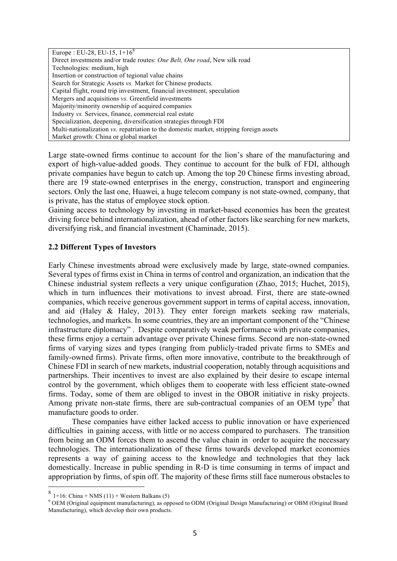| Europe: EU-28, EU-15, $1+16^8$                                                          |
|-----------------------------------------------------------------------------------------|
| Direct investments and/or trade routes: One Belt, One road, New silk road               |
| Technologies: medium, high                                                              |
| Insertion or construction of tegional value chains                                      |
| Search for Strategic Assets vs. Market for Chinese products.                            |
| Capital flight, round trip investment, financial investment, speculation                |
| Mergers and acquisitions vs. Greenfield investments                                     |
| Majority/minority ownership of acquired companies                                       |
| Industry vs. Services, finance, commercial real estate                                  |
| Specialization, deepening, diversification strategies through FDI                       |
| Multi-nationalization vs. repatriation to the domestic market, stripping foreign assets |
| Market growth: China or global market                                                   |

Large state-owned firms continue to account for the lion's share of the manufacturing and export of high-value-added goods. They continue to account for the bulk of FDI, although private companies have begun to catch up. Among the top 20 Chinese firms investing abroad, there are 19 state-owned enterprises in the energy, construction, transport and engineering sectors. Only the last one, Huawei, a huge telecom company is not state-owned, company, that is private, has the status of employee stock option.

Gaining access to technology by investing in market-based economies has been the greatest driving force behind internationalization, ahead of other factors like searching for new markets, diversifying risk, and financial investment (Chaminade, 2015).

# **2.2 Different Types of Investors**

Early Chinese investments abroad were exclusively made by large, state-owned companies. Several types of firms exist in China in terms of control and organization, an indication that the Chinese industrial system reflects a very unique configuration (Zhao, 2015; Huchet, 2015), which in turn influences their motivations to invest abroad. First, there are state-owned companies, which receive generous government support in terms of capital access, innovation, and aid (Haley & Haley, 2013). They enter foreign markets seeking raw materials, technologies, and markets. In some countries, they are an important component of the "Chinese infrastructure diplomacy" . Despite comparatively weak performance with private companies, these firms enjoy a certain advantage over private Chinese firms. Second are non-state-owned firms of varying sizes and types (ranging from publicly-traded private firms to SMEs and family-owned firms). Private firms, often more innovative, contribute to the breakthrough of Chinese FDI in search of new markets, industrial cooperation, notably through acquisitions and partnerships. Their incentives to invest are also explained by their desire to escape internal control by the government, which obliges them to cooperate with less efficient state-owned firms. Today, some of them are obliged to invest in the OBOR initiative in risky projects. Among private non-state firms, there are sub-contractual companies of an OEM type<sup>9</sup> that manufacture goods to order.

These companies have either lacked access to public innovation or have experienced difficulties in gaining access, with little or no access compared to purchasers. The transition from being an ODM forces them to ascend the value chain in order to acquire the necessary technologies. The internationalization of these firms towards developed market economies represents a way of gaining access to the knowledge and technologies that they lack domestically. Increase in public spending in R-D is time consuming in terms of impact and appropriation by firms, of spin off. The majority of these firms still face numerous obstacles to

 $8 +16$ : China + NMS (11) + Western Balkans (5)

<sup>9</sup> OEM (Original equipment manufacturing), as opposed to ODM (Original Design Manufacturing) or OBM (Original Brand Manufacturing), which develop their own products.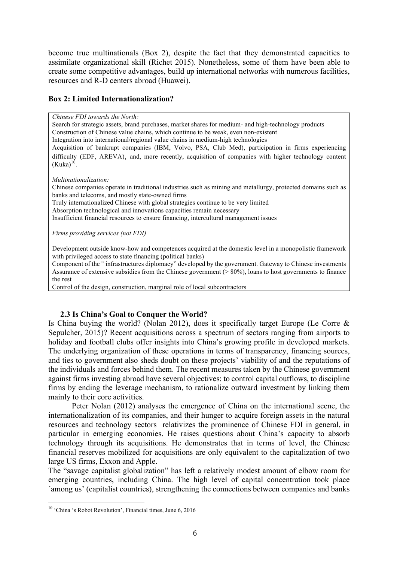become true multinationals (Box 2), despite the fact that they demonstrated capacities to assimilate organizational skill (Richet 2015). Nonetheless, some of them have been able to create some competitive advantages, build up international networks with numerous facilities, resources and R-D centers abroad (Huawei).

## **Box 2: Limited Internationalization?**

#### *Chinese FDI towards the North:*

Search for strategic assets, brand purchases, market shares for medium- and high-technology products Construction of Chinese value chains, which continue to be weak, even non-existent

Integration into international/regional value chains in medium-high technologies

Acquisition of bankrupt companies (IBM, Volvo, PSA, Club Med), participation in firms experiencing difficulty (EDF, AREVA), and, more recently, acquisition of companies with higher technology content  $(Kuka)^{10}$ .

*Multinationalization:*

Chinese companies operate in traditional industries such as mining and metallurgy, protected domains such as banks and telecoms, and mostly state-owned firms

Truly internationalized Chinese with global strategies continue to be very limited

Absorption technological and innovations capacities remain necessary

Insufficient financial resources to ensure financing, intercultural management issues

*Firms providing services (not FDI)*

Development outside know-how and competences acquired at the domestic level in a monopolistic framework with privileged access to state financing (political banks)

Component of the " infrastructures diplomacy" developed by the government. Gateway to Chinese investments Assurance of extensive subsidies from the Chinese government  $(> 80\%)$ , loans to host governments to finance the rest

Control of the design, construction, marginal role of local subcontractors

# **2.3 Is China's Goal to Conquer the World?**

Is China buying the world? (Nolan 2012), does it specifically target Europe (Le Corre & Sepulcher, 2015)? Recent acquisitions across a spectrum of sectors ranging from airports to holiday and football clubs offer insights into China's growing profile in developed markets. The underlying organization of these operations in terms of transparency, financing sources, and ties to government also sheds doubt on these projects' viability of and the reputations of the individuals and forces behind them. The recent measures taken by the Chinese government against firms investing abroad have several objectives: to control capital outflows, to discipline firms by ending the leverage mechanism, to rationalize outward investment by linking them mainly to their core activities.

Peter Nolan (2012) analyses the emergence of China on the international scene, the internationalization of its companies, and their hunger to acquire foreign assets in the natural resources and technology sectors relativizes the prominence of Chinese FDI in general, in particular in emerging economies. He raises questions about China's capacity to absorb technology through its acquisitions. He demonstrates that in terms of level, the Chinese financial reserves mobilized for acquisitions are only equivalent to the capitalization of two large US firms, Exxon and Apple.

The "savage capitalist globalization" has left a relatively modest amount of elbow room for emerging countries, including China. The high level of capital concentration took place ´among us' (capitalist countries), strengthening the connections between companies and banks

<sup>&</sup>lt;sup>10</sup> 'China 's Robot Revolution', Financial times, June 6, 2016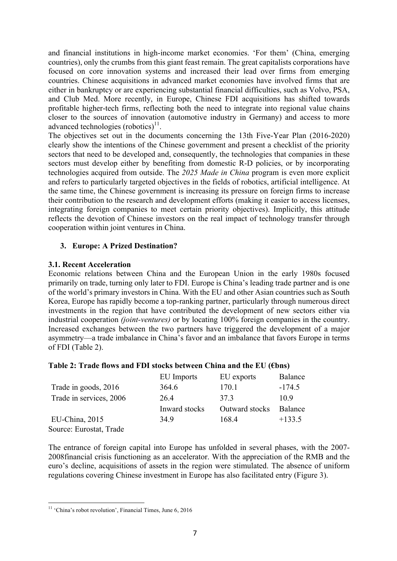and financial institutions in high-income market economies. 'For them' (China, emerging countries), only the crumbs from this giant feast remain. The great capitalists corporations have focused on core innovation systems and increased their lead over firms from emerging countries. Chinese acquisitions in advanced market economies have involved firms that are either in bankruptcy or are experiencing substantial financial difficulties, such as Volvo, PSA, and Club Med. More recently, in Europe, Chinese FDI acquisitions has shifted towards profitable higher-tech firms, reflecting both the need to integrate into regional value chains closer to the sources of innovation (automotive industry in Germany) and access to more advanced technologies  $(robotics)^{11}$ .

The objectives set out in the documents concerning the 13th Five-Year Plan (2016-2020) clearly show the intentions of the Chinese government and present a checklist of the priority sectors that need to be developed and, consequently, the technologies that companies in these sectors must develop either by benefiting from domestic R-D policies, or by incorporating technologies acquired from outside. The *2025 Made in China* program is even more explicit and refers to particularly targeted objectives in the fields of robotics, artificial intelligence. At the same time, the Chinese government is increasing its pressure on foreign firms to increase their contribution to the research and development efforts (making it easier to access licenses, integrating foreign companies to meet certain priority objectives). Implicitly, this attitude reflects the devotion of Chinese investors on the real impact of technology transfer through cooperation within joint ventures in China.

# **3. Europe: A Prized Destination?**

# **3.1. Recent Acceleration**

Economic relations between China and the European Union in the early 1980s focused primarily on trade, turning only later to FDI. Europe is China's leading trade partner and is one of the world's primary investors in China. With the EU and other Asian countries such as South Korea, Europe has rapidly become a top-ranking partner, particularly through numerous direct investments in the region that have contributed the development of new sectors either via industrial cooperation *(joint-ventures)* or by locating 100% foreign companies in the country. Increased exchanges between the two partners have triggered the development of a major asymmetry—a trade imbalance in China's favor and an imbalance that favors Europe in terms of FDI (Table 2).

### **Table 2: Trade flows and FDI stocks between China and the EU (€bns)**

|                         | EU Imports    | EU exports     | Balance  |
|-------------------------|---------------|----------------|----------|
| Trade in goods, 2016    | 364.6         | 170.1          | $-174.5$ |
| Trade in services, 2006 | 264           | 37.3           | 10.9     |
|                         | Inward stocks | Outward stocks | Balance  |
| EU-China, 2015          | 349           | 168.4          | $+133.5$ |
| Source: Eurostat, Trade |               |                |          |

The entrance of foreign capital into Europe has unfolded in several phases, with the 2007- 2008financial crisis functioning as an accelerator. With the appreciation of the RMB and the euro's decline, acquisitions of assets in the region were stimulated. The absence of uniform regulations covering Chinese investment in Europe has also facilitated entry (Figure 3).

 <sup>11</sup> 'China's robot revolution', Financial Times, June 6, 2016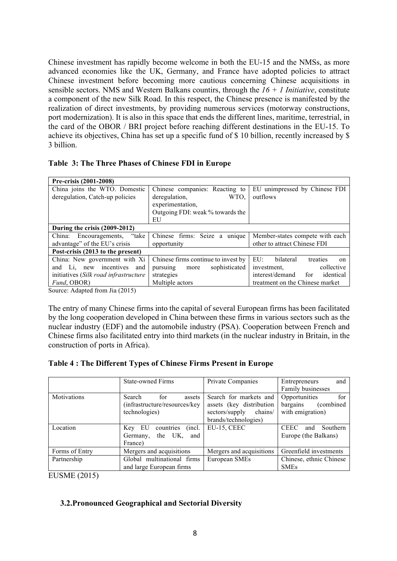Chinese investment has rapidly become welcome in both the EU-15 and the NMSs, as more advanced economies like the UK, Germany, and France have adopted policies to attract Chinese investment before becoming more cautious concerning Chinese acquisitions in sensible sectors. NMS and Western Balkans countirs, through the *16 + 1 Initiative*, constitute a component of the new Silk Road. In this respect, the Chinese presence is manifested by the realization of direct investments, by providing numerous services (motorway constructions, port modernization). It is also in this space that ends the different lines, maritime, terrestrial, in the card of the OBOR / BRI project before reaching different destinations in the EU-15. To achieve its objectives, China has set up a specific fund of \$ 10 billion, recently increased by \$ 3 billion.

|  |  |  |  |  |  | Table 3: The Three Phases of Chinese FDI in Europe |  |  |  |  |
|--|--|--|--|--|--|----------------------------------------------------|--|--|--|--|
|--|--|--|--|--|--|----------------------------------------------------|--|--|--|--|

| Pre-crisis (2001-2008)                |                                     |                                                   |
|---------------------------------------|-------------------------------------|---------------------------------------------------|
| China joins the WTO. Domestic         | Chinese companies: Reacting to      | EU unimpressed by Chinese FDI                     |
| deregulation, Catch-up policies       | deregulation,<br>WTO.               | outflows                                          |
|                                       | experimentation,                    |                                                   |
|                                       | Outgoing FDI: weak % towards the    |                                                   |
|                                       | EU                                  |                                                   |
| During the crisis (2009-2012)         |                                     |                                                   |
| "take<br>China: Encouragements,       | Chinese firms: Seize a unique       | Member-states compete with each                   |
| advantage" of the EU's crisis         | opportunity                         | other to attract Chinese FDI                      |
| Post-crisis (2013 to the present)     |                                     |                                                   |
| China: New government with Xi         | Chinese firms continue to invest by | $E U$ :<br>bilateral<br>treaties<br><sub>on</sub> |
| and Li, new incentives and            | sophisticated<br>pursuing more      | investment,<br>collective                         |
| initiatives (Silk road infrastructure | strategies                          | interest/demand<br>identical<br>for               |
| Fund, OBOR)                           | Multiple actors                     | treatment on the Chinese market                   |

Source: Adapted from Jia (2015)

The entry of many Chinese firms into the capital of several European firms has been facilitated by the long cooperation developed in China between these firms in various sectors such as the nuclear industry (EDF) and the automobile industry (PSA). Cooperation between French and Chinese firms also facilitated entry into third markets (in the nuclear industry in Britain, in the construction of ports in Africa).

|  | Table 4: The Different Types of Chinese Firms Present in Europe |  |  |  |  |
|--|-----------------------------------------------------------------|--|--|--|--|
|  |                                                                 |  |  |  |  |

|                    | <b>State-owned Firms</b>       | Private Companies         | and<br>Entrepreneurs           |
|--------------------|--------------------------------|---------------------------|--------------------------------|
|                    |                                |                           | Family businesses              |
| <b>Motivations</b> | for<br>Search<br>assets        | Search for markets and    | for<br>Opportunities           |
|                    | (infrastructure/resources/key) | assets (key distribution  | bargains<br>(combined)         |
|                    | technologies)                  | chains/<br>sectors/supply | with emigration)               |
|                    |                                | brands/technologies)      |                                |
| Location           | countries<br>(incl.<br>Key EU  | EU-15, CEEC               | <b>CEEC</b><br>Southern<br>and |
|                    | the UK,<br>and<br>Germany,     |                           | Europe (the Balkans)           |
|                    | France)                        |                           |                                |
| Forms of Entry     | Mergers and acquisitions       | Mergers and acquisitions  | Greenfield investments         |
| Partnership        | Global multinational firms     | European SMEs             | Chinese, ethnic Chinese        |
|                    | and large European firms       |                           | <b>SMEs</b>                    |

EUSME (2015)

# **3.2.Pronounced Geographical and Sectorial Diversity**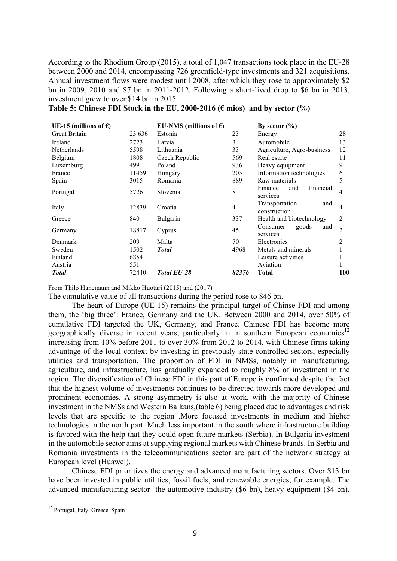According to the Rhodium Group (2015), a total of 1,047 transactions took place in the EU-28 between 2000 and 2014, encompassing 726 greenfield-type investments and 321 acquisitions. Annual investment flows were modest until 2008, after which they rose to approximately \$2 bn in 2009, 2010 and \$7 bn in 2011-2012. Following a short-lived drop to \$6 bn in 2013, investment grew to over \$14 bn in 2015.

| UE-15 (millions of $\epsilon$ ) |        | EU-NMS (millions of $\epsilon$ ) |       | By sector $(\% )$                       |                |
|---------------------------------|--------|----------------------------------|-------|-----------------------------------------|----------------|
| <b>Great Britain</b>            | 23 636 | Estonia                          | 23    | Energy                                  | 28             |
| Ireland                         | 2723   | Latvia                           | 3     | Automobile                              | 13             |
| Netherlands                     | 5598   | Lithuania                        | 33    | Agriculture, Agro-business              | 12             |
| Belgium                         | 1808   | Czech Republic                   | 569   | Real estate                             | 11             |
| Luxemburg                       | 499    | Poland                           | 936   | Heavy equipment                         | 9              |
| France                          | 11459  | Hungary                          | 2051  | Information technologies                | 6              |
| Spain                           | 3015   | Romania                          | 889   | Raw materials                           | 5              |
| Portugal                        | 5726   | Slovenia                         | 8     | Finance<br>financial<br>and<br>services | 4              |
| Italy                           | 12839  | Croatia                          | 4     | Transportation<br>and<br>construction   | 4              |
| Greece                          | 840    | <b>Bulgaria</b>                  | 337   | Health and biotechnology                | 2              |
| Germany                         | 18817  | Cyprus                           | 45    | goods<br>and<br>Consumer<br>services    | $\mathfrak{D}$ |
| Denmark                         | 209    | Malta                            | 70    | Electronics                             | 2              |
| Sweden                          | 1502   | <b>Total</b>                     | 4968  | Metals and minerals                     |                |
| Finland                         | 6854   |                                  |       | Leisure activities                      |                |
| Austria                         | 551    |                                  |       | Aviation                                |                |
| <b>Total</b>                    | 72440  | <b>Total EU-28</b>               | 82376 | <b>Total</b>                            | 100            |

From Thilo Hanemann and Mikko Huotari (2015) and (2017)

The cumulative value of all transactions during the period rose to \$46 bn.

The heart of Europe (UE-15) remains the principal target of Chinse FDI and among them, the 'big three': France, Germany and the UK. Between 2000 and 2014, over 50% of cumulative FDI targeted the UK, Germany, and France. Chinese FDI has become more geographically diverse in recent years, particularly in in southern European economies<sup>12</sup> increasing from 10% before 2011 to over 30% from 2012 to 2014, with Chinese firms taking advantage of the local context by investing in previously state-controlled sectors, especially utilities and transportation. The proportion of FDI in NMSs, notably in manufacturing, agriculture, and infrastructure, has gradually expanded to roughly 8% of investment in the region. The diversification of Chinese FDI in this part of Europe is confirmed despite the fact that the highest volume of investments continues to be directed towards more developed and prominent economies. A strong asymmetry is also at work, with the majority of Chinese investment in the NMSs and Western Balkans,(table 6) being placed due to advantages and risk levels that are specific to the region .More focused investments in medium and higher technologies in the north part. Much less important in the south where infrastructure building is favored with the help that they could open future markets (Serbia). In Bulgaria investment in the automobile sector aims at supplying regional markets with Chinese brands. In Serbia and Romania investments in the telecommunications sector are part of the network strategy at European level (Huawei).

Chinese FDI prioritizes the energy and advanced manufacturing sectors. Over \$13 bn have been invested in public utilities, fossil fuels, and renewable energies, for example. The advanced manufacturing sector--the automotive industry (\$6 bn), heavy equipment (\$4 bn),

<sup>&</sup>lt;sup>12</sup> Portugal, Italy, Greece, Spain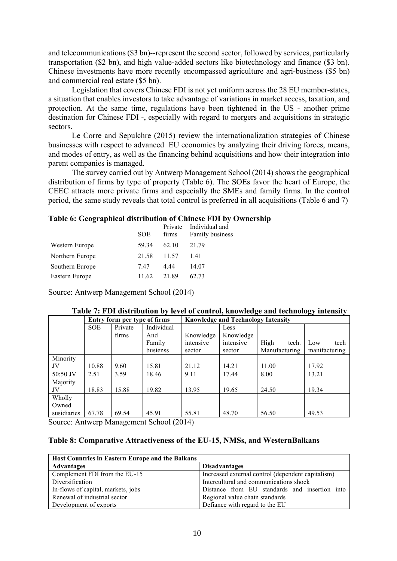and telecommunications (\$3 bn)--represent the second sector, followed by services, particularly transportation (\$2 bn), and high value-added sectors like biotechnology and finance (\$3 bn). Chinese investments have more recently encompassed agriculture and agri-business (\$5 bn) and commercial real estate (\$5 bn).

Legislation that covers Chinese FDI is not yet uniform across the 28 EU member-states, a situation that enables investors to take advantage of variations in market access, taxation, and protection. At the same time, regulations have been tightened in the US - another prime destination for Chinese FDI -, especially with regard to mergers and acquisitions in strategic sectors.

Le Corre and Sepulchre (2015) review the internationalization strategies of Chinese businesses with respect to advanced EU economies by analyzing their driving forces, means, and modes of entry, as well as the financing behind acquisitions and how their integration into parent companies is managed.

The survey carried out by Antwerp Management School (2014) shows the geographical distribution of firms by type of property (Table 6). The SOEs favor the heart of Europe, the CEEC attracts more private firms and especially the SMEs and family firms. In the control period, the same study reveals that total control is preferred in all acquisitions (Table 6 and 7)

# **Table 6: Geographical distribution of Chinese FDI by Ownership**

|            |       | Private Individual and |
|------------|-------|------------------------|
| <b>SOE</b> | firms | Family business        |
| 59.34      | 62 10 | 21.79                  |
| 21.58      | 11.57 | 141                    |
| 747        | 4 4 4 | 14.07                  |
| 11.62      | 21.89 | 62.73                  |
|            |       |                        |

Source: Antwerp Management School (2014)

|             | Entry form per type of firms |         |            | <b>Knowledge and Technology Intensity</b> |           |               |               |
|-------------|------------------------------|---------|------------|-------------------------------------------|-----------|---------------|---------------|
|             | <b>SOE</b>                   | Private | Individual |                                           | Less      |               |               |
|             |                              | firms   | And        | Knowledge                                 | Knowledge |               |               |
|             |                              |         | Family     | intensive                                 | intensive | High<br>tech. | tech<br>Low   |
|             |                              |         | busienss   | sector                                    | sector    | Manufacturing | manifacturing |
| Minority    |                              |         |            |                                           |           |               |               |
| JV          | 10.88                        | 9.60    | 15.81      | 21.12                                     | 14.21     | 11.00         | 17.92         |
| 50:50 JV    | 2.51                         | 3.59    | 18.46      | 9.11                                      | 17.44     | 8.00          | 13.21         |
| Majority    |                              |         |            |                                           |           |               |               |
| JV          | 18.83                        | 15.88   | 19.82      | 13.95                                     | 19.65     | 24.50         | 19.34         |
| Wholly      |                              |         |            |                                           |           |               |               |
| Owned       |                              |         |            |                                           |           |               |               |
| susidiaries | 67.78                        | 69.54   | 45.91      | 55.81                                     | 48.70     | 56.50         | 49.53         |

# **Table 7: FDI distribution by level of control, knowledge and technology intensity**

Source: Antwerp Management School (2014)

### **Table 8: Comparative Attractiveness of the EU-15, NMSs, and WesternBalkans**

| Host Countries in Eastern Europe and the Balkans |                                                   |
|--------------------------------------------------|---------------------------------------------------|
| <b>Advantages</b>                                | <b>Disadvantages</b>                              |
| Complement FDI from the EU-15                    | Increased external control (dependent capitalism) |
| Diversification                                  | Intercultural and communications shock            |
| In-flows of capital, markets, jobs               | Distance from EU standards and insertion into     |
| Renewal of industrial sector                     | Regional value chain standards                    |
| Development of exports                           | Defiance with regard to the EU                    |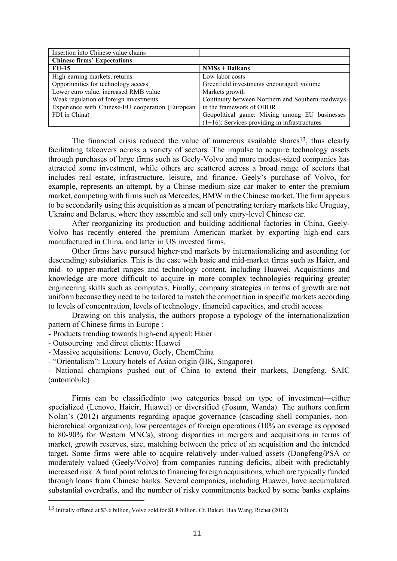| Insertion into Chinese value chains              |                                                   |  |  |  |  |  |
|--------------------------------------------------|---------------------------------------------------|--|--|--|--|--|
| <b>Chinese firms' Expectations</b>               |                                                   |  |  |  |  |  |
| $EU-15$                                          | $NMSs + Balkans$                                  |  |  |  |  |  |
| High-earning markets, returns                    | Low labor costs                                   |  |  |  |  |  |
| Opportunities for technology access              | Greenfield investments encouraged: volume         |  |  |  |  |  |
| Lower euro value, increased RMB value            | Markets growth                                    |  |  |  |  |  |
| Weak regulation of foreign investments           | Continuity between Northern and Southern roadways |  |  |  |  |  |
| Experience with Chinese-EU cooperation (European | in the framework of OBOR                          |  |  |  |  |  |
| FDI in China)                                    | Geopolitical game: Mixing among EU businesses     |  |  |  |  |  |
|                                                  | $(1+16)$ : Services providing in infrastructures  |  |  |  |  |  |

The financial crisis reduced the value of numerous available shares<sup>13</sup>, thus clearly facilitating takeovers across a variety of sectors. The impulse to acquire technology assets through purchases of large firms such as Geely-Volvo and more modest-sized companies has attracted some investment, while others are scattered across a broad range of sectors that includes real estate, infrastructure, leisure, and finance. Geely's purchase of Volvo, for example, represents an attempt, by a Chinse medium size car maker to enter the premium market, competing with firms such as Mercedes, BMW in the Chinese market. The firm appears to be secondarily using this acquisition as a mean of penetrating tertiary markets like Uruguay, Ukraine and Belarus, where they assemble and sell only entry-level Chinese car.

After reorganizing its production and building additional factories in China, Geely-Volvo has recently entered the premium American market by exporting high-end cars manufactured in China, and latter in US invested firms.

Other firms have pursued higher-end markets by internationalizing and ascending (or descending) subsidiaries. This is the case with basic and mid-market firms such as Haier, and mid- to upper-market ranges and technology content, including Huawei. Acquisitions and knowledge are more difficult to acquire in more complex technologies requiring greater engineering skills such as computers. Finally, company strategies in terms of growth are not uniform because they need to be tailored to match the competition in specific markets according to levels of concentration, levels of technology, financial capacities, and credit access.

Drawing on this analysis, the authors propose a typology of the internationalization pattern of Chinese firms in Europe :

- Products trending towards high-end appeal: Haier

- Outsourcing and direct clients: Huawei

- Massive acquisitions: Lenovo, Geely, ChemChina

- "Orientalism": Luxury hotels of Asian origin (HK, Singapore)

- National champions pushed out of China to extend their markets, Dongfeng, SAIC (automobile)

Firms can be classifiedinto two categories based on type of investment—either specialized (Lenovo, Haieir, Huawei) or diversified (Fosum, Wanda). The authors confirm Nolan's (2012) arguments regarding opaque governance (cascading shell companies, nonhierarchical organization), low percentages of foreign operations (10% on average as opposed to 80-90% for Western MNCs), strong disparities in mergers and acquisitions in terms of market, growth reserves, size, matching between the price of an acquisition and the intended target. Some firms were able to acquire relatively under-valued assets (Dongfeng/PSA or moderately valued (Geely/Volvo) from companies running deficits, albeit with predictably increased risk. A final point relates to financing foreign acquisitions, which are typically funded through loans from Chinese banks. Several companies, including Huawei, have accumulated substantial overdrafts, and the number of risky commitments backed by some banks explains

 <sup>13</sup> Initially offered at \$3.6 billion, Volvo sold for \$1.8 billion. Cf. Balcet, Hua Wang, Richet (2012)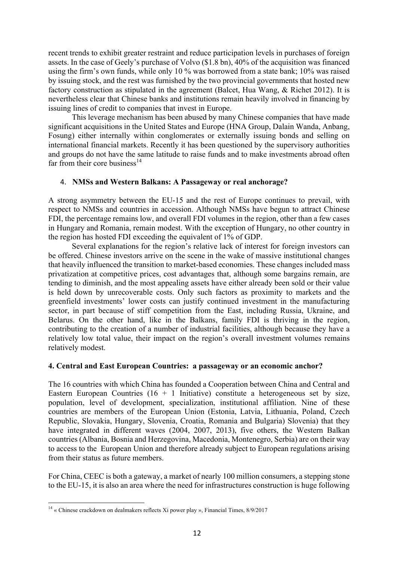recent trends to exhibit greater restraint and reduce participation levels in purchases of foreign assets. In the case of Geely's purchase of Volvo (\$1.8 bn), 40% of the acquisition was financed using the firm's own funds, while only 10 % was borrowed from a state bank; 10% was raised by issuing stock, and the rest was furnished by the two provincial governments that hosted new factory construction as stipulated in the agreement (Balcet, Hua Wang, & Richet 2012). It is nevertheless clear that Chinese banks and institutions remain heavily involved in financing by issuing lines of credit to companies that invest in Europe.

This leverage mechanism has been abused by many Chinese companies that have made significant acquisitions in the United States and Europe (HNA Group, Dalain Wanda, Anbang, Fosung) either internally within conglomerates or externally issuing bonds and selling on international financial markets. Recently it has been questioned by the supervisory authorities and groups do not have the same latitude to raise funds and to make investments abroad often far from their core business $^{14}$ 

# 4. **NMSs and Western Balkans: A Passageway or real anchorage?**

A strong asymmetry between the EU-15 and the rest of Europe continues to prevail, with respect to NMSs and countries in accession. Although NMSs have begun to attract Chinese FDI, the percentage remains low, and overall FDI volumes in the region, other than a few cases in Hungary and Romania, remain modest. With the exception of Hungary, no other country in the region has hosted FDI exceeding the equivalent of 1% of GDP.

Several explanations for the region's relative lack of interest for foreign investors can be offered. Chinese investors arrive on the scene in the wake of massive institutional changes that heavily influenced the transition to market-based economies. These changes included mass privatization at competitive prices, cost advantages that, although some bargains remain, are tending to diminish, and the most appealing assets have either already been sold or their value is held down by unrecoverable costs. Only such factors as proximity to markets and the greenfield investments' lower costs can justify continued investment in the manufacturing sector, in part because of stiff competition from the East, including Russia, Ukraine, and Belarus. On the other hand, like in the Balkans, family FDI is thriving in the region, contributing to the creation of a number of industrial facilities, although because they have a relatively low total value, their impact on the region's overall investment volumes remains relatively modest.

# **4. Central and East European Countries: a passageway or an economic anchor?**

The 16 countries with which China has founded a Cooperation between China and Central and Eastern European Countries  $(16 + 1)$  Initiative) constitute a heterogeneous set by size, population, level of development, specialization, institutional affiliation. Nine of these countries are members of the European Union (Estonia, Latvia, Lithuania, Poland, Czech Republic, Slovakia, Hungary, Slovenia, Croatia, Romania and Bulgaria) Slovenia) that they have integrated in different waves (2004, 2007, 2013), five others, the Western Balkan countries (Albania, Bosnia and Herzegovina, Macedonia, Montenegro, Serbia) are on their way to access to the European Union and therefore already subject to European regulations arising from their status as future members.

For China, CEEC is both a gateway, a market of nearly 100 million consumers, a stepping stone to the EU-15, it is also an area where the need for infrastructures construction is huge following

<sup>&</sup>lt;sup>14</sup> « Chinese crackdown on dealmakers reflects Xi power play », Financial Times, 8/9/2017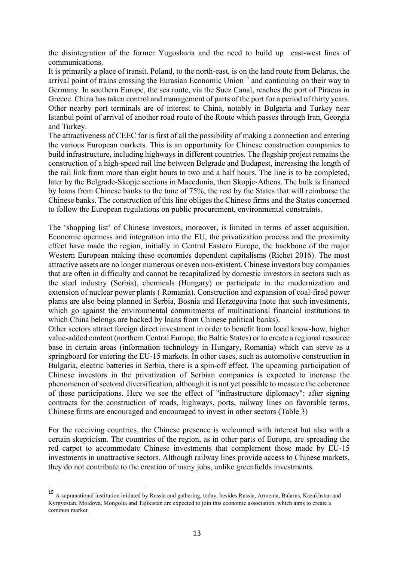the disintegration of the former Yugoslavia and the need to build up east-west lines of communications.

It is primarily a place of transit. Poland, to the north-east, is on the land route from Belarus, the arrival point of trains crossing the Eurasian Economic Union<sup>15</sup> and continuing on their way to Germany. In southern Europe, the sea route, via the Suez Canal, reaches the port of Piraeus in Greece. China has taken control and management of parts of the port for a period of thirty years. Other nearby port terminals are of interest to China, notably in Bulgaria and Turkey near Istanbul point of arrival of another road route of the Route which passes through Iran, Georgia and Turkey.

The attractiveness of CEEC for is first of all the possibility of making a connection and entering the various European markets. This is an opportunity for Chinese construction companies to build infrastructure, including highways in different countries. The flagship project remains the construction of a high-speed rail line between Belgrade and Budapest, increasing the length of the rail link from more than eight hours to two and a half hours. The line is to be completed, later by the Belgrade-Skopje sections in Macedonia, then Skopje-Athens. The bulk is financed by loans from Chinese banks to the tune of 75%, the rest by the States that will reimburse the Chinese banks. The construction of this line obliges the Chinese firms and the States concerned to follow the European regulations on public procurement, environmental constraints.

The 'shopping list' of Chinese investors, moreover, is limited in terms of asset acquisition. Economic openness and integration into the EU, the privatization process and the proximity effect have made the region, initially in Central Eastern Europe, the backbone of the major Western European making these economies dependent capitalisms (Richet 2016). The most attractive assets are no longer numerous or even non-existent. Chinese investors buy companies that are often in difficulty and cannot be recapitalized by domestic investors in sectors such as the steel industry (Serbia), chemicals (Hungary) or participate in the modernization and extension of nuclear power plants ( Romania). Construction and expansion of coal-fired power plants are also being planned in Serbia, Bosnia and Herzegovina (note that such investments, which go against the environmental commitments of multinational financial institutions to which China belongs are backed by loans from Chinese political banks).

Other sectors attract foreign direct investment in order to benefit from local know-how, higher value-added content (northern Central Europe, the Baltic States) or to create a regional resource base in certain areas (information technology in Hungary, Romania) which can serve as a springboard for entering the EU-15 markets. In other cases, such as automotive construction in Bulgaria, electric batteries in Serbia, there is a spin-off effect. The upcoming participation of Chinese investors in the privatization of Serbian companies is expected to increase the phenomenon of sectoral diversification, although it is not yet possible to measure the coherence of these participations. Here we see the effect of "infrastructure diplomacy": after signing contracts for the construction of roads, highways, ports, railway lines on favorable terms, Chinese firms are encouraged and encouraged to invest in other sectors (Table 3)

For the receiving countries, the Chinese presence is welcomed with interest but also with a certain skepticism. The countries of the region, as in other parts of Europe, are spreading the red carpet to accommodate Chinese investments that complement those made by EU-15 investments in unattractive sectors. Although railway lines provide access to Chinese markets, they do not contribute to the creation of many jobs, unlike greenfields investments.

 $\overline{a}$ 

<sup>15</sup> A supranational institution initiated by Russia and gathering, today, besides Russia, Armenia, Balarus, Kazakhstan and Kyrgyzstan. Moldova, Mongolia and Tajikistan are expected to join this economic association, which aims to create a common market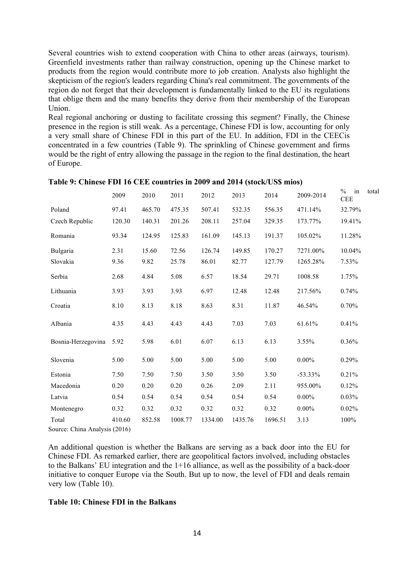Several countries wish to extend cooperation with China to other areas (airways, tourism). Greenfield investments rather than railway construction, opening up the Chinese market to products from the region would contribute more to job creation. Analysts also highlight the skepticism of the region's leaders regarding China's real commitment. The governments of the region do not forget that their development is fundamentally linked to the EU its regulations that oblige them and the many benefits they derive from their membership of the European Union.

Real regional anchoring or dusting to facilitate crossing this segment? Finally, the Chinese presence in the region is still weak. As a percentage, Chinese FDI is low, accounting for only a very small share of Chinese FDI in this part of the EU. In addition, FDI in the CEECis concentrated in a few countries (Table 9). The sprinkling of Chinese government and firms would be the right of entry allowing the passage in the region to the final destination, the heart of Europe.

|                               | 2009   | 2010   | 2011    | 2012    | 2013    | 2014    | 2009-2014  | in<br>$\frac{0}{0}$<br>total<br><b>CEE</b> |
|-------------------------------|--------|--------|---------|---------|---------|---------|------------|--------------------------------------------|
| Poland                        | 97.41  | 465.70 | 475.35  | 507.41  | 532.35  | 556.35  | 471.14%    | 32.79%                                     |
| Czech Republic                | 120.30 | 140.31 | 201.26  | 208.11  | 257.04  | 329.35  | 173.77%    | 19.41%                                     |
| Romania                       | 93.34  | 124.95 | 125.83  | 161.09  | 145.13  | 191.37  | 105.02%    | 11.28%                                     |
| Bulgaria                      | 2.31   | 15.60  | 72.56   | 126.74  | 149.85  | 170.27  | 7271.00%   | 10.04%                                     |
| Slovakia                      | 9.36   | 9.82   | 25.78   | 86.01   | 82.77   | 127.79  | 1265.28%   | 7.53%                                      |
| Serbia                        | 2.68   | 4.84   | 5.08    | 6.57    | 18.54   | 29.71   | 1008.58    | 1.75%                                      |
| Lithuania                     | 3.93   | 3.93   | 3.93    | 6.97    | 12.48   | 12.48   | 217.56%    | 0.74%                                      |
| Croatia                       | 8.10   | 8.13   | 8.18    | 8.63    | 8.31    | 11.87   | 46.54%     | 0.70%                                      |
| Albania                       | 4.35   | 4.43   | 4.43    | 4.43    | 7.03    | 7.03    | 61.61%     | 0.41%                                      |
| Bosnia-Herzegovina            | 5.92   | 5.98   | 6.01    | 6.07    | 6.13    | 6.13    | 3.55%      | 0.36%                                      |
| Slovenia                      | 5.00   | 5.00   | 5.00    | 5.00    | 5.00    | 5.00    | $0.00\%$   | 0.29%                                      |
| Estonia                       | 7.50   | 7.50   | 7.50    | 3.50    | 3.50    | 3.50    | $-53.33\%$ | 0.21%                                      |
| Macedonia                     | 0.20   | 0.20   | 0.20    | 0.26    | 2.09    | 2.11    | 955.00%    | 0.12%                                      |
| Latvia                        | 0.54   | 0.54   | 0.54    | 0.54    | 0.54    | 0.54    | $0.00\%$   | $0.03\%$                                   |
| Montenegro                    | 0.32   | 0.32   | 0.32    | 0.32    | 0.32    | 0.32    | $0.00\%$   | 0.02%                                      |
| Total                         | 410.60 | 852.58 | 1008.77 | 1334.00 | 1435.76 | 1696.51 | 3.13       | 100%                                       |
| Source: China Analysis (2016) |        |        |         |         |         |         |            |                                            |

#### **Table 9: Chinese FDI 16 CEE countries in 2009 and 2014 (stock/US\$ mios)**

An additional question is whether the Balkans are serving as a back door into the EU for Chinese FDI. As remarked earlier, there are geopolitical factors involved, including obstacles to the Balkans' EU integration and the 1+16 alliance, as well as the possibility of a back-door initiative to conquer Europe via the South. But up to now, the level of FDI and deals remain very low (Table 10).

### **Table 10: Chinese FDI in the Balkans**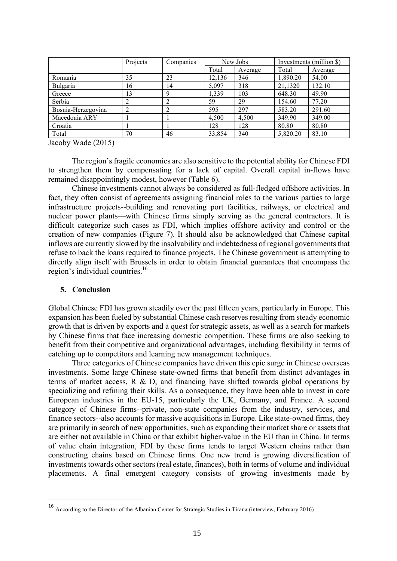|                    | Projects | Companies | New Jobs |         | Investments (million \$) |         |
|--------------------|----------|-----------|----------|---------|--------------------------|---------|
|                    |          |           | Total    | Average | Total                    | Average |
| Romania            | 35       | 23        | 12,136   | 346     | 1,890.20                 | 54.00   |
| Bulgaria           | 16       | 14        | 5,097    | 318     | 21,1320                  | 132.10  |
| Greece             | 13       | 9         | 1,339    | 103     | 648.30                   | 49.90   |
| Serbia             |          |           | 59       | 29      | 154.60                   | 77.20   |
| Bosnia-Herzegovina |          |           | 595      | 297     | 583.20                   | 291.60  |
| Macedonia ARY      |          |           | 4,500    | 4,500   | 349.90                   | 349.00  |
| Croatia            |          |           | 128      | 128     | 80.80                    | 80.80   |
| Total              | 70       | 46        | 33,854   | 340     | 5,820.20                 | 83.10   |

Jacoby Wade (2015)

The region's fragile economies are also sensitive to the potential ability for Chinese FDI to strengthen them by compensating for a lack of capital. Overall capital in-flows have remained disappointingly modest, however (Table 6).

Chinese investments cannot always be considered as full-fledged offshore activities. In fact, they often consist of agreements assigning financial roles to the various parties to large infrastructure projects--building and renovating port facilities, railways, or electrical and nuclear power plants—with Chinese firms simply serving as the general contractors. It is difficult categorize such cases as FDI, which implies offshore activity and control or the creation of new companies (Figure 7). It should also be acknowledged that Chinese capital inflows are currently slowed by the insolvability and indebtedness of regional governments that refuse to back the loans required to finance projects. The Chinese government is attempting to directly align itself with Brussels in order to obtain financial guarantees that encompass the region's individual countries.<sup>16</sup>

#### **5. Conclusion**

 $\overline{a}$ 

Global Chinese FDI has grown steadily over the past fifteen years, particularly in Europe. This expansion has been fueled by substantial Chinese cash reserves resulting from steady economic growth that is driven by exports and a quest for strategic assets, as well as a search for markets by Chinese firms that face increasing domestic competition. These firms are also seeking to benefit from their competitive and organizational advantages, including flexibility in terms of catching up to competitors and learning new management techniques.

Three categories of Chinese companies have driven this epic surge in Chinese overseas investments. Some large Chinese state-owned firms that benefit from distinct advantages in terms of market access, R & D, and financing have shifted towards global operations by specializing and refining their skills. As a consequence, they have been able to invest in core European industries in the EU-15, particularly the UK, Germany, and France. A second category of Chinese firms--private, non-state companies from the industry, services, and finance sectors--also accounts for massive acquisitions in Europe. Like state-owned firms, they are primarily in search of new opportunities, such as expanding their market share or assets that are either not available in China or that exhibit higher-value in the EU than in China. In terms of value chain integration, FDI by these firms tends to target Western chains rather than constructing chains based on Chinese firms. One new trend is growing diversification of investments towards other sectors (real estate, finances), both in terms of volume and individual placements. A final emergent category consists of growing investments made by

<sup>16</sup> According to the Director of the Albanian Center for Strategic Studies in Tirana (interview, February 2016)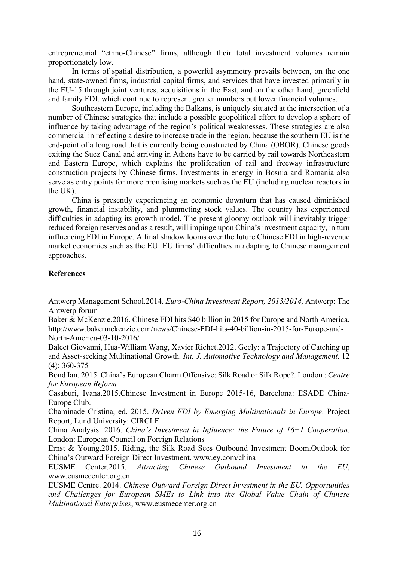entrepreneurial "ethno-Chinese" firms, although their total investment volumes remain proportionately low.

In terms of spatial distribution, a powerful asymmetry prevails between, on the one hand, state-owned firms, industrial capital firms, and services that have invested primarily in the EU-15 through joint ventures, acquisitions in the East, and on the other hand, greenfield and family FDI, which continue to represent greater numbers but lower financial volumes.

Southeastern Europe, including the Balkans, is uniquely situated at the intersection of a number of Chinese strategies that include a possible geopolitical effort to develop a sphere of influence by taking advantage of the region's political weaknesses. These strategies are also commercial in reflecting a desire to increase trade in the region, because the southern EU is the end-point of a long road that is currently being constructed by China (OBOR). Chinese goods exiting the Suez Canal and arriving in Athens have to be carried by rail towards Northeastern and Eastern Europe, which explains the proliferation of rail and freeway infrastructure construction projects by Chinese firms. Investments in energy in Bosnia and Romania also serve as entry points for more promising markets such as the EU (including nuclear reactors in the  $UK$ ).

China is presently experiencing an economic downturn that has caused diminished growth, financial instability, and plummeting stock values. The country has experienced difficulties in adapting its growth model. The present gloomy outlook will inevitably trigger reduced foreign reserves and as a result, will impinge upon China's investment capacity, in turn influencing FDI in Europe. A final shadow looms over the future Chinese FDI in high-revenue market economies such as the EU: EU firms' difficulties in adapting to Chinese management approaches.

# **References**

Antwerp Management School.2014. *Euro-China Investment Report, 2013/2014,* Antwerp: The Antwerp forum

Baker & McKenzie.2016. Chinese FDI hits \$40 billion in 2015 for Europe and North America. http://www.bakermckenzie.com/news/Chinese-FDI-hits-40-billion-in-2015-for-Europe-and-North-America-03-10-2016/

Balcet Giovanni, Hua-William Wang, Xavier Richet.2012. Geely: a Trajectory of Catching up and Asset-seeking Multinational Growth. *Int. J. Automotive Technology and Management,* 12 (4): 360-375

Bond Ian. 2015. China's European Charm Offensive: Silk Road or Silk Rope?. London : *Centre for European Reform*

Casaburi, Ivana.2015.Chinese Investment in Europe 2015-16, Barcelona: ESADE China-Europe Club.

Chaminade Cristina, ed. 2015. *Driven FDI by Emerging Multinationals in Europe*. Project Report, Lund University: CIRCLE

China Analysis. 2016. *China's Investment in Influence: the Future of 16+1 Cooperation*. London: European Council on Foreign Relations

Ernst & Young.2015. Riding, the Silk Road Sees Outbound Investment Boom.Outlook for China's Outward Foreign Direct Investment. www.ey.com/china

EUSME Center.2015. *Attracting Chinese Outbound Investment to the EU*, www.eusmecenter.org.cn

EUSME Centre. 2014. *Chinese Outward Foreign Direct Investment in the EU. Opportunities and Challenges for European SMEs to Link into the Global Value Chain of Chinese Multinational Enterprises*, www.eusmecenter.org.cn